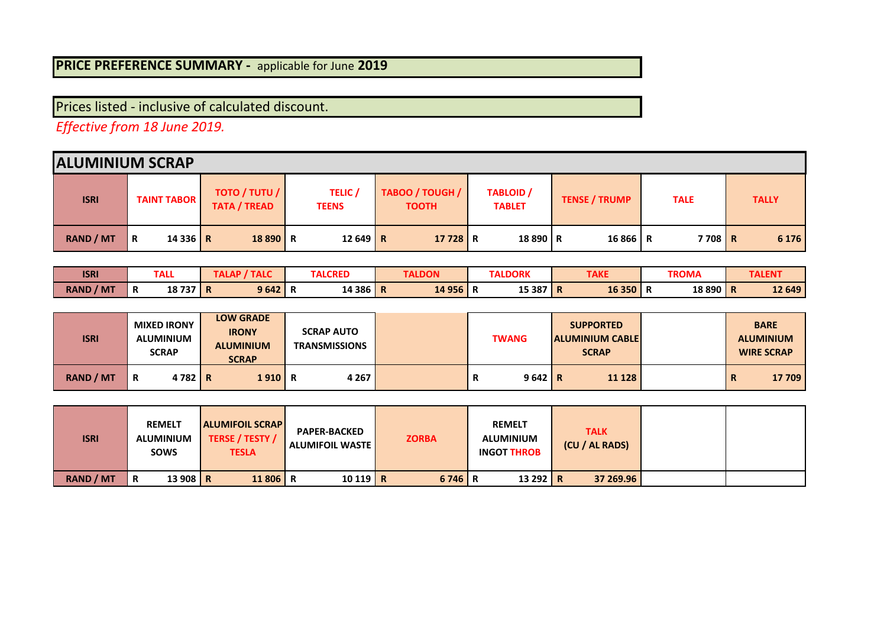## **PRICE PREFERENCE SUMMARY -** applicable for June **2019**

Prices listed - inclusive of calculated discount.

*Effective from 18 June 2019.* 

| <b>ALUMINIUM SCRAP</b> |                              |                                      |                                |                                 |                                   |                      |             |              |
|------------------------|------------------------------|--------------------------------------|--------------------------------|---------------------------------|-----------------------------------|----------------------|-------------|--------------|
| <b>ISRI</b>            | <b>TAINT TABOR</b>           | TOTO / TUTU /<br><b>TATA / TREAD</b> | <b>TELIC</b> /<br><b>TEENS</b> | TABOO / TOUGH /<br><b>TOOTH</b> | <b>TABLOID</b> /<br><b>TABLET</b> | <b>TENSE / TRUMP</b> | <b>TALE</b> | <b>TALLY</b> |
| <b>RAND / MT</b>       | 14 3 3 6 $\overline{R}$<br>R | 18890 R                              | $12649$ R                      | 17728 R                         | 18 890 R                          | 16866 R              | 7708 R      | 6 1 7 6      |

| <b>ISRI</b>         |        | <b>TALL</b> | ı           | <b>TALC</b> | <b>TALCRED</b> | <b>TALDON</b> | <b>TALDORK</b> | <b>TAKE</b>    |        |   | TROMA   | <b>TALEN'</b> |
|---------------------|--------|-------------|-------------|-------------|----------------|---------------|----------------|----------------|--------|---|---------|---------------|
| <b>RAND</b><br>/ MT | D<br>n | 18737       | $\mathbf R$ | 9642'       | 14 386 R       | 14 956        | 15 387 R       | $\blacksquare$ | 16 350 | n | 18890 R | 12 649        |

| <b>ISRI</b>      | <b>MIXED IRONY</b><br><b>ALUMINIUM</b><br><b>SCRAP</b> | <b>LOW GRADE</b><br><b>IRONY</b><br><b>ALUMINIUM</b><br><b>SCRAP</b> | <b>SCRAP AUTO</b><br><b>TRANSMISSIONS</b> | <b>TWANG</b>   | <b>SUPPORTED</b><br><b>ALUMINIUM CABLE</b><br><b>SCRAP</b> | <b>BARE</b><br><b>ALUMINIUM</b><br><b>WIRE SCRAP</b> |
|------------------|--------------------------------------------------------|----------------------------------------------------------------------|-------------------------------------------|----------------|------------------------------------------------------------|------------------------------------------------------|
| <b>RAND / MT</b> | $4782$ R<br>R                                          | 1910 R                                                               | 4 2 6 7                                   | $9642$ R<br>n. | 11 128                                                     | 17 709<br>┅                                          |

| <b>ISRI</b>      | <b>REMELT</b><br><b>ALUMINIUM</b><br><b>SOWS</b> | <b>ALUMIFOIL SCRAP</b><br>TERSE / TESTY /<br><b>TESLA</b> | <b>PAPER-BACKED</b><br>  ALUMIFOIL WASTE | <b>ZORBA</b> | <b>REMELT</b><br><b>ALUMINIUM</b><br><b>INGOT THROB</b> | <b>TALK</b><br>(CU / AL RADS) |  |
|------------------|--------------------------------------------------|-----------------------------------------------------------|------------------------------------------|--------------|---------------------------------------------------------|-------------------------------|--|
| <b>RAND / MT</b> | 13 908 R<br>R                                    | 11 806 R                                                  | $10119$ R                                | 6746 R       | 13 292 R                                                | 37 269.96                     |  |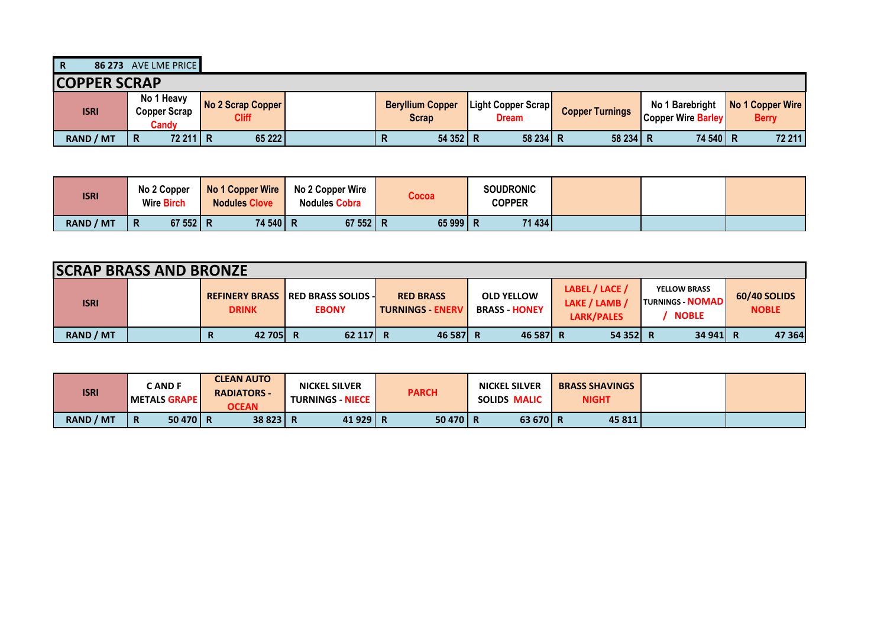**R 86 273** AVE LME PRICE

| <b>COPPER SCRAP</b> |                                     |                                          |                                  |                                           |                        |                                              |                                  |
|---------------------|-------------------------------------|------------------------------------------|----------------------------------|-------------------------------------------|------------------------|----------------------------------------------|----------------------------------|
| <b>ISRI</b>         | No 1 Heavy<br>Copper Scrap<br>Candv | <b>No 2 Scrap Copper</b><br><b>Cliff</b> | <b>Beryllium Copper</b><br>Scrap | <b>Light Copper Scrap</b><br><b>Dream</b> | <b>Copper Turnings</b> | No 1 Barebright<br><b>Copper Wire Barley</b> | No 1 Copper Wire<br><b>Berry</b> |
| <b>RAND / MT</b>    | 72 211 R<br>R                       | 65 222                                   | 54 352 R<br>n                    | 58 234 R                                  | 58 234                 | 74 540 R                                     | 72 211                           |

| <b>ISRI</b> | No 2 Copper<br><b>Wire Birch</b> | No 1 Copper Wire<br><b>Nodules Clove</b> | No 2 Copper Wire<br><b>Nodules Cobra</b> | Cocoa  | <b>SOUDRONIC</b><br>COPPER |  |  |
|-------------|----------------------------------|------------------------------------------|------------------------------------------|--------|----------------------------|--|--|
| RAND / MT   | 67 552 R<br>R                    | 74 540 R                                 | 67 552 R                                 | 65 999 | 71 434                     |  |  |

|             | <b>SCRAP BRASS AND BRONZE</b> |              |                                                           |                                             |                                           |                                                      |                                                              |                              |  |  |  |
|-------------|-------------------------------|--------------|-----------------------------------------------------------|---------------------------------------------|-------------------------------------------|------------------------------------------------------|--------------------------------------------------------------|------------------------------|--|--|--|
| <b>ISRI</b> |                               | <b>DRINK</b> | <b>REFINERY BRASS IRED BRASS SOLIDS 4</b><br><b>EBONY</b> | <b>RED BRASS</b><br><b>TURNINGS - ENERV</b> | <b>OLD YELLOW</b><br><b>BRASS - HONEY</b> | LABEL / LACE /<br>LAKE / LAMB /<br><b>LARK/PALES</b> | <b>YELLOW BRASS</b><br><b>TURNINGS NOMAD</b><br><b>NOBLE</b> | 60/40 SOLIDS<br><b>NOBLE</b> |  |  |  |
| RAND / MT   |                               | 42 705 R     | 62 117 R                                                  | 46 587 R                                    | 46 587 R                                  | 54 352 R                                             | 34 941 R                                                     | 47 364                       |  |  |  |

| <b>ISRI</b>      |                         | <b>CAND F</b><br>l METALS GRAPE l | <b>CLEAN AUTO</b><br><b>RADIATORS -</b><br><b>OCEAN</b> | <b>NICKEL SILVER</b><br><b>TURNINGS - NIECE I</b> | <b>PARCH</b> | <b>NICKEL SILVER</b><br><b>SOLIDS MALIC</b> | <b>BRASS SHAVINGS</b><br><b>NIGHT</b> |  |
|------------------|-------------------------|-----------------------------------|---------------------------------------------------------|---------------------------------------------------|--------------|---------------------------------------------|---------------------------------------|--|
| <b>RAND / MT</b> | $\overline{\mathbf{R}}$ | 50 470 R                          | 38 823 R                                                | 41 929 R                                          | 50 470 R     | 63 670 R                                    | 45 811                                |  |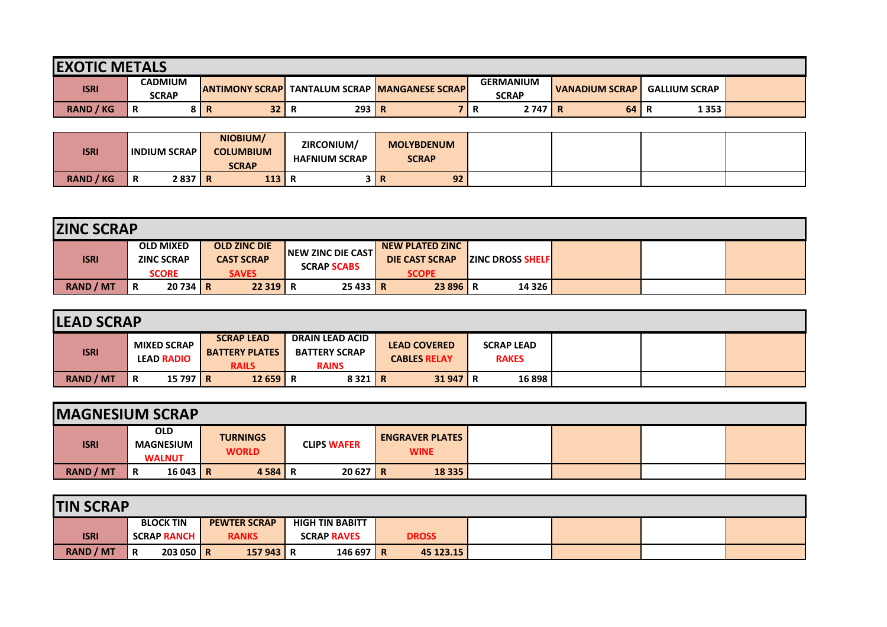| <b>IEXOTIC METALS</b> |                                |                         |           |                                       |                                  |                  |                      |  |  |  |  |  |
|-----------------------|--------------------------------|-------------------------|-----------|---------------------------------------|----------------------------------|------------------|----------------------|--|--|--|--|--|
| <b>ISRI</b>           | <b>CADMIUM</b><br><b>SCRAP</b> | <b>JANTIMONY SCRAPI</b> |           | <b>TANTALUM SCRAP MANGANESE SCRAP</b> | <b>GERMANIUM</b><br><b>SCRAP</b> | I VANADIUM SCRAP | <b>GALLIUM SCRAP</b> |  |  |  |  |  |
| <b>RAND / KG</b>      | R<br><b>Q</b>                  | 32 <sup>2</sup>         | 293 R<br> |                                       | 2747<br>n                        | 64<br>R          | 1353<br>R            |  |  |  |  |  |

| <b>ISRI</b>         | <b>INDIUM SCRAP</b> | NIOBIUM/<br><b>COLUMBIUM</b><br><b>SCRAP</b> | ZIRCONIUM/<br><b>HAFNIUM SCRAP</b> | <b>MOLYBDENUM</b><br><b>SCRAP</b> |  |  |
|---------------------|---------------------|----------------------------------------------|------------------------------------|-----------------------------------|--|--|
| <b>RAND</b><br>/ KG | 2837<br>R           | 113<br>. .<br>- 13                           | Ð<br>в                             | 92<br>$\mathsf{R}$                |  |  |

|                  | <b>ZINC SCRAP</b> |                                                       |  |                                                          |                                                  |  |                                                                 |                           |  |  |  |  |
|------------------|-------------------|-------------------------------------------------------|--|----------------------------------------------------------|--------------------------------------------------|--|-----------------------------------------------------------------|---------------------------|--|--|--|--|
| <b>ISRI</b>      |                   | <b>OLD MIXED</b><br><b>ZINC SCRAP</b><br><b>SCORE</b> |  | <b>OLD ZINC DIE</b><br><b>CAST SCRAP</b><br><b>SAVES</b> | <b>INEW ZINC DIE CASTI</b><br><b>SCRAP SCABS</b> |  | <b>NEW PLATED ZINC</b><br><b>DIE CAST SCRAP</b><br><b>SCOPE</b> | <b>IZINC DROSS SHELFI</b> |  |  |  |  |
| <b>RAND / MT</b> | R                 | $20734$ R                                             |  | 22 319 R                                                 | 25433 R                                          |  | 23 896 R                                                        | 14 3 26                   |  |  |  |  |

|                  |                                         |                                                            |                                                                |                                            | <b>LEAD SCRAP</b>                 |  |  |  |  |  |  |  |  |  |  |  |
|------------------|-----------------------------------------|------------------------------------------------------------|----------------------------------------------------------------|--------------------------------------------|-----------------------------------|--|--|--|--|--|--|--|--|--|--|--|
| <b>ISRI</b>      | <b>MIXED SCRAP</b><br><b>LEAD RADIO</b> | <b>SCRAP LEAD</b><br><b>BATTERY PLATES</b><br><b>RAILS</b> | <b>DRAIN LEAD ACID</b><br><b>BATTERY SCRAP</b><br><b>RAINS</b> | <b>LEAD COVERED</b><br><b>CABLES RELAY</b> | <b>SCRAP LEAD</b><br><b>RAKES</b> |  |  |  |  |  |  |  |  |  |  |  |
| <b>RAND / MT</b> | 15 797 $\overline{R}$<br>R              | $12659$ R                                                  | 8321 R                                                         | $31947$ R                                  | 16 898                            |  |  |  |  |  |  |  |  |  |  |  |

| <b>IMAGNESIUM SCRAP</b> |   |                                                 |                                 |                    |                                       |  |  |
|-------------------------|---|-------------------------------------------------|---------------------------------|--------------------|---------------------------------------|--|--|
| <b>ISRI</b>             |   | <b>OLD</b><br><b>MAGNESIUM</b><br><b>WALNUT</b> | <b>TURNINGS</b><br><b>WORLD</b> | <b>CLIPS WAFER</b> | <b>ENGRAVER PLATES</b><br><b>WINE</b> |  |  |
| <b>RAND / MT</b>        | R | $16043$ R                                       | 4 5 8 4 R                       | $20627$ R          | 18 3 35                               |  |  |

| <b>TIN SCRAP</b> |                         |                     |                        |              |  |  |
|------------------|-------------------------|---------------------|------------------------|--------------|--|--|
|                  | <b>BLOCK TIN</b>        | <b>PEWTER SCRAP</b> | <b>HIGH TIN BABITT</b> |              |  |  |
| <b>ISRI</b>      | <b>SCRAP RANCH</b>      | <b>RANKS</b>        | <b>SCRAP RAVES</b>     | <b>DROSS</b> |  |  |
| <b>RAND / MT</b> | 203050 R<br>$\mathbf R$ | 157943 R            | 146 697   R            | 45 123.15    |  |  |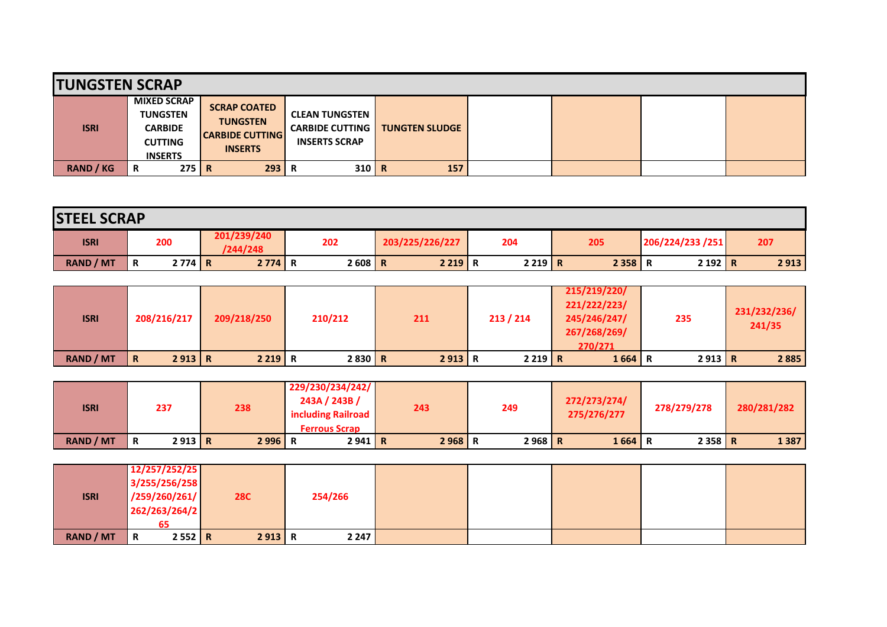| <b>TUNGSTEN SCRAP</b> |                                                                                             |                                                                                    |                                                                         |                       |  |  |
|-----------------------|---------------------------------------------------------------------------------------------|------------------------------------------------------------------------------------|-------------------------------------------------------------------------|-----------------------|--|--|
| <b>ISRI</b>           | <b>MIXED SCRAP</b><br><b>TUNGSTEN</b><br><b>CARBIDE</b><br><b>CUTTING</b><br><b>INSERTS</b> | <b>SCRAP COATED</b><br><b>TUNGSTEN</b><br><b>CARBIDE CUTTING</b><br><b>INSERTS</b> | <b>CLEAN TUNGSTEN</b><br><b>CARBIDE CUTTING</b><br><b>INSERTS SCRAP</b> | <b>TUNGTEN SLUDGE</b> |  |  |
| <b>RAND / KG</b>      | 275 R<br>R                                                                                  | 293                                                                                | $310$ R                                                                 | 157                   |  |  |

| <b>STEEL SCRAP</b> |   |          |                         |     |          |                 |        |     |          |                  |      |
|--------------------|---|----------|-------------------------|-----|----------|-----------------|--------|-----|----------|------------------|------|
| <b>ISRI</b>        |   | 200      | 201/239/240<br>/244/248 | 202 |          | 203/225/226/227 | 204    | 205 |          | 206/224/233 /251 | 207  |
| <b>RAND / MT</b>   | R | $2774$ R | 2774 R                  |     | $2608$ R | $2219$ R        | 2219 R |     | $2358$ R | 2192 R           | 2913 |

| <b>ISRI</b>      | 208/216/217            | 209/218/250 | 210/212 | 211    | 213 / 214 | 215/219/220/<br>221/222/223/<br>245/246/247/<br>267/268/269/<br>270/271 | 235    | 231/232/236/<br>241/35 |
|------------------|------------------------|-------------|---------|--------|-----------|-------------------------------------------------------------------------|--------|------------------------|
| <b>RAND / MT</b> | 2913 R<br>$\mathsf{R}$ | 2219 R      | 2830 R  | 2913 R | 2219 R    | $1664$ R                                                                | 2913 R | 2 8 8 5                |

| <b>ISRI</b>      | 237 |        | 238      | 229/230/234/242/<br>243A / 243B /<br>including Railroad<br><b>Ferrous Scrap</b> | 243      | 249 |          | 272/273/274/<br>275/276/277 | 278/279/278 | 280/281/282 |
|------------------|-----|--------|----------|---------------------------------------------------------------------------------|----------|-----|----------|-----------------------------|-------------|-------------|
| <b>RAND / MT</b> | R   | 2913 R | $2996$ R | 2941 R                                                                          | $2968$ R |     | $2968$ R | $1664$ R                    | $2358$ R    | 1387        |

|             | 12/257/252/25 |        |            |         |  |  |  |
|-------------|---------------|--------|------------|---------|--|--|--|
|             | 3/255/256/258 |        |            |         |  |  |  |
| <b>ISRI</b> | /259/260/261/ |        | <b>28C</b> | 254/266 |  |  |  |
|             | 262/263/264/2 |        |            |         |  |  |  |
|             | 65            |        |            |         |  |  |  |
| RAND / MT   | IR.           | 2552 R | 2913 R     | 2 247 l |  |  |  |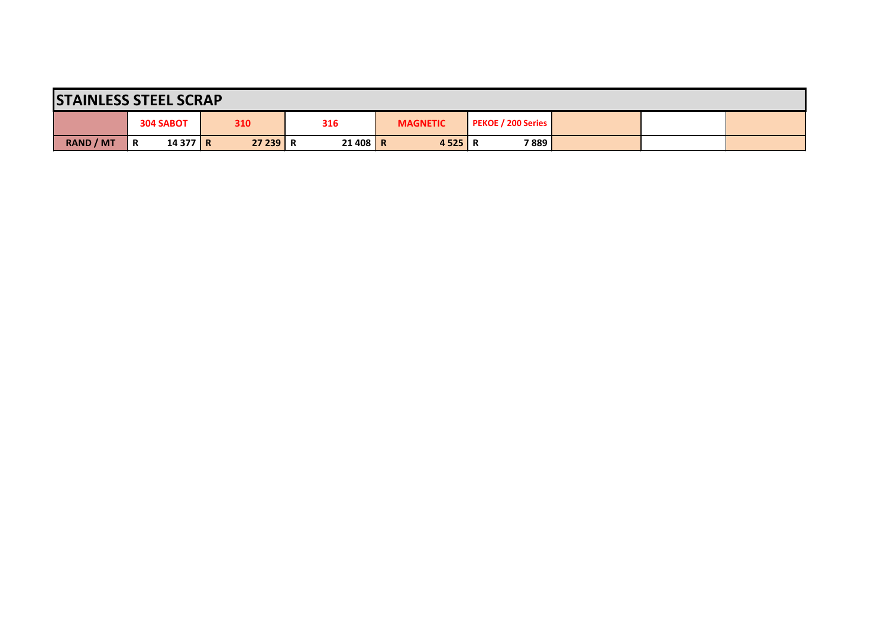| <b>STAINLESS STEEL SCRAP</b> |   |           |          |  |          |  |                 |                    |      |  |  |
|------------------------------|---|-----------|----------|--|----------|--|-----------------|--------------------|------|--|--|
|                              |   | 304 SABOT | 310      |  | 316      |  | <b>MAGNETIC</b> | PEKOE / 200 Series |      |  |  |
| <b>RAND / MT</b>             | R | $14377$ R | 27 239 R |  | 21 408 R |  | 4 5 2 5 R       |                    | 7889 |  |  |